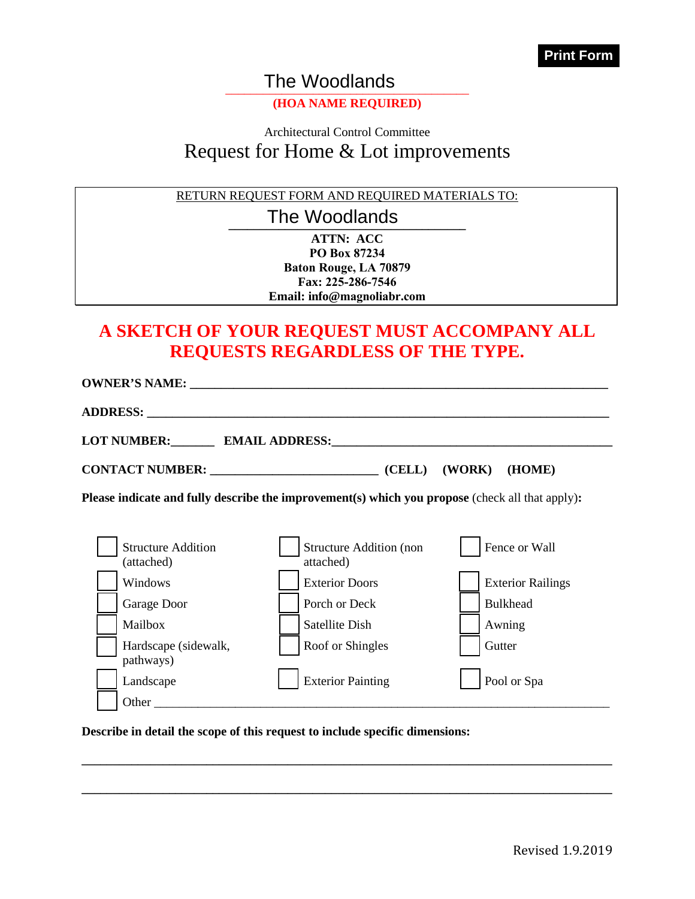The Woodlands

#### **(HOA NAME REQUIRED)**

# Architectural Control Committee Request for Home & Lot improvements The Woodlands<br>
(HOA NAME REQUIR<br>
Architectural Control Com<br>
est for Home & Lot i<br>
REQUEST FORM AND REQUII

RETURN REQUEST FORM AND REQUIRED MATERIALS TO:

The Woodlands

**ATTN: ACC PO Box 87234 Baton Rouge, LA 70879 Fax: 225-286-7546 Email: info@magnoliabr.com**

### **A SKETCH OF YOUR REQUEST MUST ACCOMPANY ALL REQUESTS REGARDLESS OF THE TYPE.**

| <b>OWNER'S NAME:</b>                              |                                                                                                        |                          |
|---------------------------------------------------|--------------------------------------------------------------------------------------------------------|--------------------------|
|                                                   |                                                                                                        |                          |
|                                                   | LOT NUMBER: EMAIL ADDRESS:                                                                             |                          |
| CONTACT NUMBER: University of the CONTACT NUMBER: | (CELL)                                                                                                 | (WORK)<br>(HOME)         |
|                                                   | <b>Please indicate and fully describe the improvement(s) which you propose (check all that apply):</b> |                          |
|                                                   |                                                                                                        |                          |
| <b>Structure Addition</b><br>(attached)           | <b>Structure Addition (non</b><br>attached)                                                            | Fence or Wall            |
| Windows                                           | <b>Exterior Doors</b>                                                                                  | <b>Exterior Railings</b> |
| Garage Door                                       | Porch or Deck                                                                                          | <b>Bulkhead</b>          |
| Mailbox                                           | Satellite Dish                                                                                         | Awning                   |
| Hardscape (sidewalk,<br>pathways)                 | Roof or Shingles                                                                                       | Gutter                   |
| Landscape                                         | <b>Exterior Painting</b>                                                                               | Pool or Spa              |
| Other                                             |                                                                                                        |                          |

**\_\_\_\_\_\_\_\_\_\_\_\_\_\_\_\_\_\_\_\_\_\_\_\_\_\_\_\_\_\_\_\_\_\_\_\_\_\_\_\_\_\_\_\_\_\_\_\_\_\_\_\_\_\_\_\_\_\_\_\_\_\_\_\_\_\_\_\_\_\_\_\_\_\_\_\_\_\_\_\_\_\_\_\_\_**

**\_\_\_\_\_\_\_\_\_\_\_\_\_\_\_\_\_\_\_\_\_\_\_\_\_\_\_\_\_\_\_\_\_\_\_\_\_\_\_\_\_\_\_\_\_\_\_\_\_\_\_\_\_\_\_\_\_\_\_\_\_\_\_\_\_\_\_\_\_\_\_\_\_\_\_\_\_\_\_\_\_\_\_\_\_**

**Describe in detail the scope of this request to include specific dimensions:**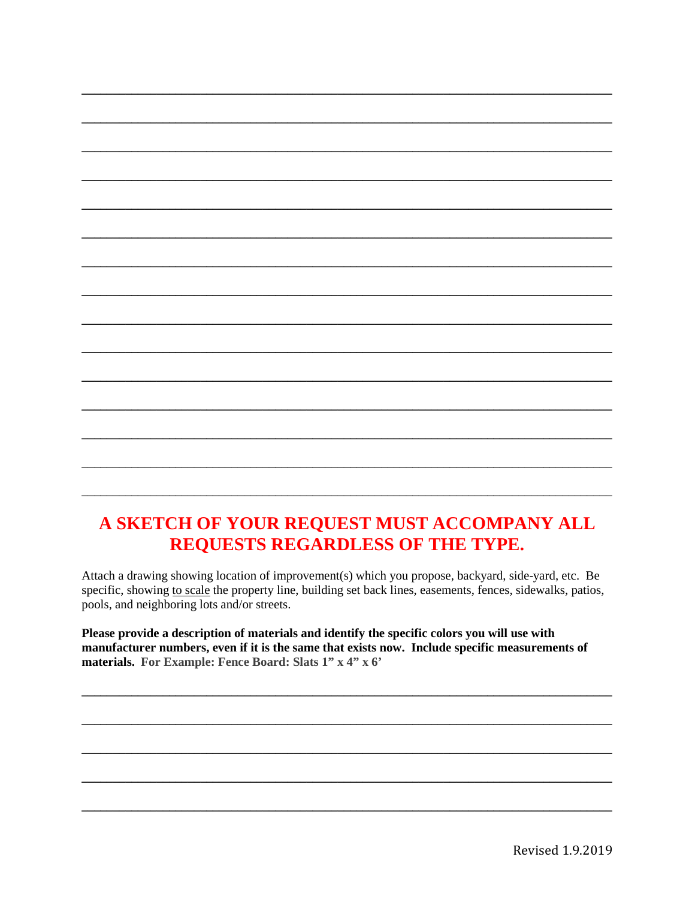# A SKETCH OF YOUR REQUEST MUST ACCOMPANY ALL REQUESTS REGARDLESS OF THE TYPE.

Attach a drawing showing location of improvement(s) which you propose, backyard, side-yard, etc. Be specific, showing to scale the property line, building set back lines, easements, fences, sidewalks, patios, pools, and neighboring lots and/or streets.

Please provide a description of materials and identify the specific colors you will use with manufacturer numbers, even if it is the same that exists now. Include specific measurements of materials. For Example: Fence Board: Slats 1" x 4" x 6"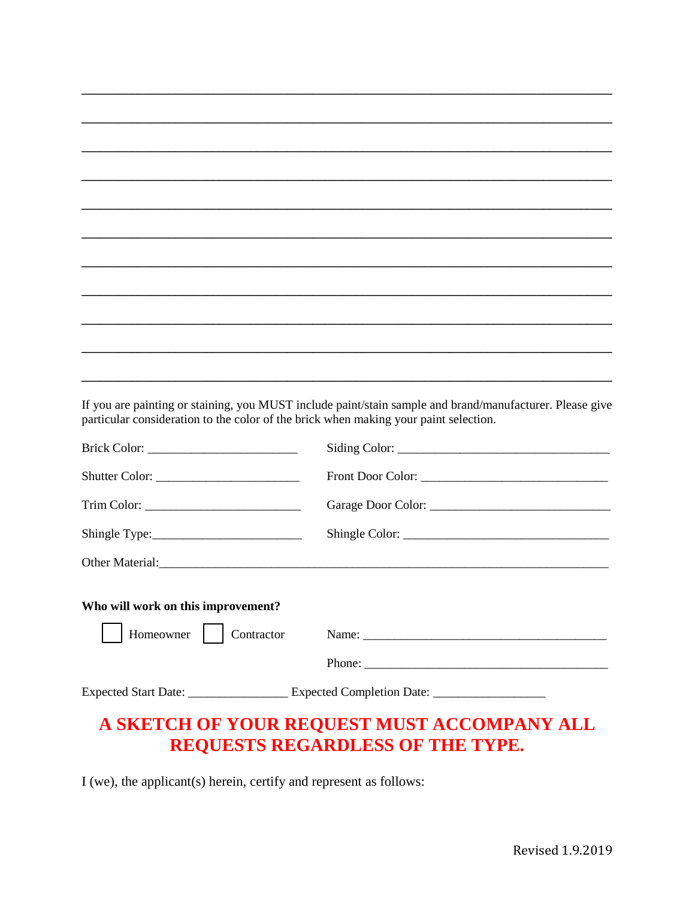If you are painting or staining, you MUST include paint/stain sample and brand/manufacturer. Please give particular consideration to the color of the brick when making your paint selection.

| Shutter Color:                     |                                                                                                      |
|------------------------------------|------------------------------------------------------------------------------------------------------|
|                                    |                                                                                                      |
| Shingle Type:                      |                                                                                                      |
|                                    |                                                                                                      |
| Who will work on this improvement? |                                                                                                      |
| Homeowner<br>Contractor            |                                                                                                      |
|                                    |                                                                                                      |
|                                    | Expected Start Date: _______________________Expected Completion Date: ______________________________ |
|                                    |                                                                                                      |

# A SKETCH OF YOUR REQUEST MUST ACCOMPANY ALL REQUESTS REGARDLESS OF THE TYPE.

I (we), the applicant(s) herein, certify and represent as follows: